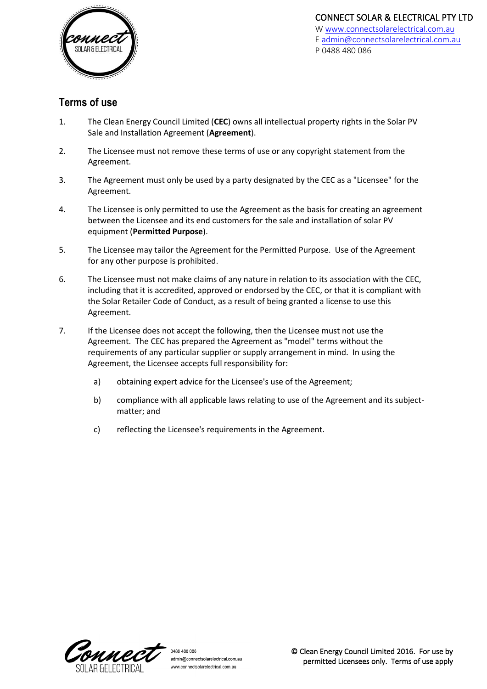

# **Terms of use**

- 1. The Clean Energy Council Limited (**CEC**) owns all intellectual property rights in the Solar PV Sale and Installation Agreement (**Agreement**).
- 2. The Licensee must not remove these terms of use or any copyright statement from the Agreement.
- 3. The Agreement must only be used by a party designated by the CEC as a "Licensee" for the Agreement.
- 4. The Licensee is only permitted to use the Agreement as the basis for creating an agreement between the Licensee and its end customers for the sale and installation of solar PV equipment (**Permitted Purpose**).
- 5. The Licensee may tailor the Agreement for the Permitted Purpose. Use of the Agreement for any other purpose is prohibited.
- 6. The Licensee must not make claims of any nature in relation to its association with the CEC, including that it is accredited, approved or endorsed by the CEC, or that it is compliant with the Solar Retailer Code of Conduct, as a result of being granted a license to use this Agreement.
- 7. If the Licensee does not accept the following, then the Licensee must not use the Agreement. The CEC has prepared the Agreement as "model" terms without the requirements of any particular supplier or supply arrangement in mind. In using the Agreement, the Licensee accepts full responsibility for:
	- a) obtaining expert advice for the Licensee's use of the Agreement;
	- b) compliance with all applicable laws relating to use of the Agreement and its subjectmatter; and
	- c) reflecting the Licensee's requirements in the Agreement.

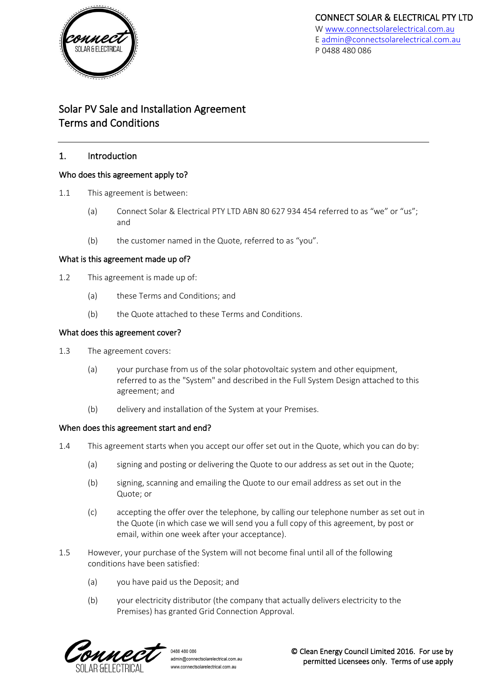

# Solar PV Sale and Installation Agreement Terms and Conditions

### 1. Introduction

### Who does this agreement apply to?

- 1.1 This agreement is between:
	- (a) Connect Solar & Electrical PTY LTD ABN 80 627 934 454 referred to as "we" or "us"; and
	- (b) the customer named in the Quote, referred to as "you".

### What is this agreement made up of?

- 1.2 This agreement is made up of:
	- (a) these Terms and Conditions; and
	- (b) the Quote attached to these Terms and Conditions.

### What does this agreement cover?

- 1.3 The agreement covers:
	- (a) your purchase from us of the solar photovoltaic system and other equipment, referred to as the "System" and described in the Full System Design attached to this agreement; and
	- (b) delivery and installation of the System at your Premises.

### When does this agreement start and end?

- 1.4 This agreement starts when you accept our offer set out in the Quote, which you can do by:
	- (a) signing and posting or delivering the Quote to our address as set out in the Quote;
	- (b) signing, scanning and emailing the Quote to our email address as set out in the Quote; or
	- (c) accepting the offer over the telephone, by calling our telephone number as set out in the Quote (in which case we will send you a full copy of this agreement, by post or email, within one week after your acceptance).
- <span id="page-1-0"></span>1.5 However, your purchase of the System will not become final until all of the following conditions have been satisfied:
	- (a) you have paid us the Deposit; and
	- (b) your electricity distributor (the company that actually delivers electricity to the Premises) has granted Grid Connection Approval.

**MMP** 

0488 480 086 admin@connectsolarelectrical.com.au www.connectsolarelectrical.com.au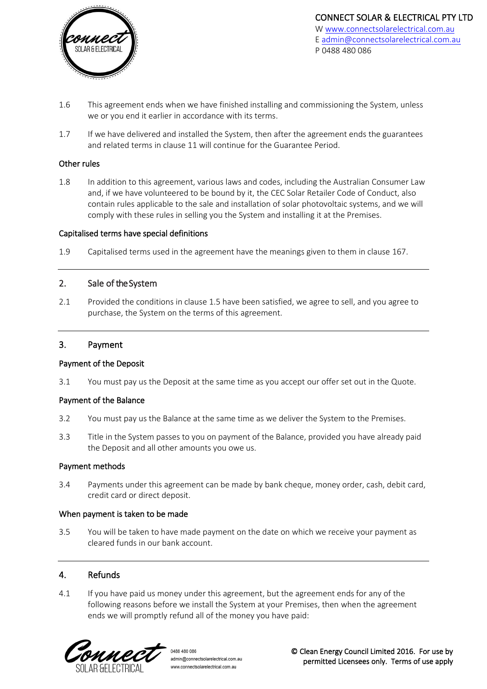

- 1.6 This agreement ends when we have finished installing and commissioning the System, unless we or you end it earlier in accordance with its terms.
- 1.7 If we have delivered and installed the System, then after the agreement ends the guarantees and related terms in claus[e 11](#page-7-0) will continue for the Guarantee Period.

### Other rules

1.8 In addition to this agreement, various laws and codes, including the Australian Consumer Law and, if we have volunteered to be bound by it, the CEC Solar Retailer Code of Conduct, also contain rules applicable to the sale and installation of solar photovoltaic systems, and we will comply with these rules in selling you the System and installing it at the Premises.

#### Capitalised terms have special definitions

1.9 Capitalised terms used in the agreement have the meanings given to them in clause [167](#page-9-0).

### 2. Sale of the System

2.1 Provided the conditions in clause [1.5](#page-1-0) have been satisfied, we agree to sell, and you agree to purchase, the System on the terms of this agreement.

### 3. Payment

#### Payment of the Deposit

3.1 You must pay us the Deposit at the same time as you accept our offer set out in the Quote.

#### Payment of the Balance

- 3.2 You must pay us the Balance at the same time as we deliver the System to the Premises.
- 3.3 Title in the System passes to you on payment of the Balance, provided you have already paid the Deposit and all other amounts you owe us.

#### Payment methods

3.4 Payments under this agreement can be made by bank cheque, money order, cash, debit card, credit card or direct deposit.

#### When payment is taken to be made

3.5 You will be taken to have made payment on the date on which we receive your payment as cleared funds in our bank account.

### 4. Refunds

4.1 If you have paid us money under this agreement, but the agreement ends for any of the following reasons before we install the System at your Premises, then when the agreement ends we will promptly refund all of the money you have paid:



0488 480 086 admin@connectsolarelectrical.com.au www.connectsolarelectrical.com.au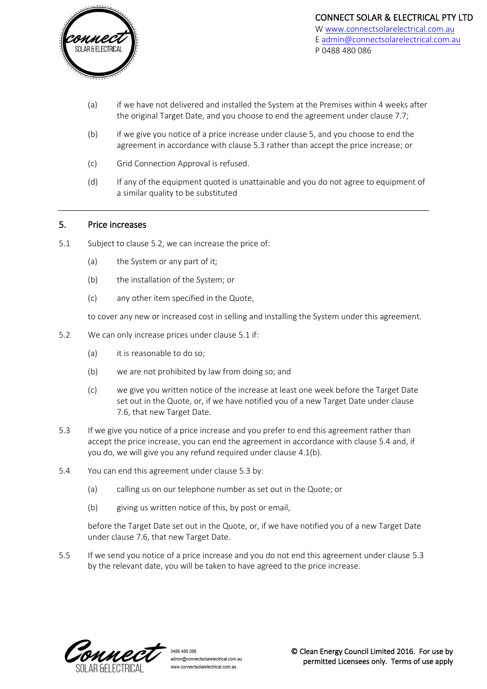

- <span id="page-3-7"></span>(a) if we have not delivered and installed the System at the Premises within 4 weeks after the original Target Date, and you choose to end the agreement under clause [7.7;](#page-5-0)
- <span id="page-3-5"></span>(b) if we give you notice of a price increase under clause [5,](#page-3-0) and you choose to end the agreement in accordance with clause [5.3](#page-3-1) rather than accept the price increase; or
- <span id="page-3-6"></span>(c) Grid Connection Approval is refused.
- (d) If any of the equipment quoted is unattainable and you do not agree to equipment of a similar quality to be substituted

### <span id="page-3-0"></span>5. Price increases

- <span id="page-3-3"></span>5.1 Subject to claus[e 5.2,](#page-3-2) we can increase the price of:
	- (a) the System or any part of it;
	- (b) the installation of the System; or
	- (c) any other item specified in the Quote,

to cover any new or increased cost in selling and installing the System under this agreement.

- <span id="page-3-2"></span>5.2 We can only increase prices under claus[e 5.1](#page-3-3) if:
	- (a) it is reasonable to do so;
	- (b) we are not prohibited by law from doing so; and
	- (c) we give you written notice of the increase at least one week before the Target Date set out in the Quote, or, if we have notified you of a new Target Date under clause [7.6,](#page-5-1) that new Target Date.
- <span id="page-3-1"></span>5.3 If we give you notice of a price increase and you prefer to end this agreement rather than accept the price increase, you can end the agreement in accordance with clause [5.4](#page-3-4) and, if you do, we will give you any refund required under clause [4.1\(b\).](#page-3-5)
- <span id="page-3-4"></span>5.4 You can end this agreement under clause [5.3](#page-3-1) by:
	- (a) calling us on our telephone number as set out in the Quote; or
	- (b) giving us written notice of this, by post or email,

before the Target Date set out in the Quote, or, if we have notified you of a new Target Date under clause [7.6,](#page-5-1) that new Target Date.

5.5 If we send you notice of a price increase and you do not end this agreement under clause [5.3](#page-3-1) by the relevant date, you will be taken to have agreed to the price increase.

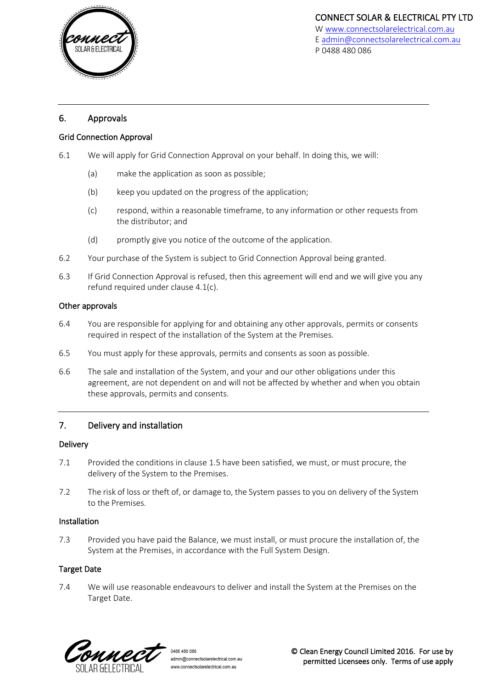

### 6. Approvals

### Grid Connection Approval

- 6.1 We will apply for Grid Connection Approval on your behalf. In doing this, we will:
	- (a) make the application as soon as possible;
	- (b) keep you updated on the progress of the application;
	- (c) respond, within a reasonable timeframe, to any information or other requests from the distributor; and
	- (d) promptly give you notice of the outcome of the application.
- 6.2 Your purchase of the System is subject to Grid Connection Approval being granted.
- 6.3 If Grid Connection Approval is refused, then this agreement will end and we will give you any refund required under clause [4.1\(c\).](#page-3-6)

### Other approvals

- 6.4 You are responsible for applying for and obtaining any other approvals, permits or consents required in respect of the installation of the System at the Premises.
- 6.5 You must apply for these approvals, permits and consents as soon as possible.
- 6.6 The sale and installation of the System, and your and our other obligations under this agreement, are not dependent on and will not be affected by whether and when you obtain these approvals, permits and consents.

# 7. Delivery and installation

### **Delivery**

- 7.1 Provided the conditions in clause [1.5](#page-1-0) have been satisfied, we must, or must procure, the delivery of the System to the Premises.
- 7.2 The risk of loss or theft of, or damage to, the System passes to you on delivery of the System to the Premises.

### Installation

7.3 Provided you have paid the Balance, we must install, or must procure the installation of, the System at the Premises, in accordance with the Full System Design.

### Target Date

7.4 We will use reasonable endeavours to deliver and install the System at the Premises on the Target Date.

CHMRCT

0488 480 086 admin@connectsolarelectrical.com.au www.connectsolarelectrical.com.au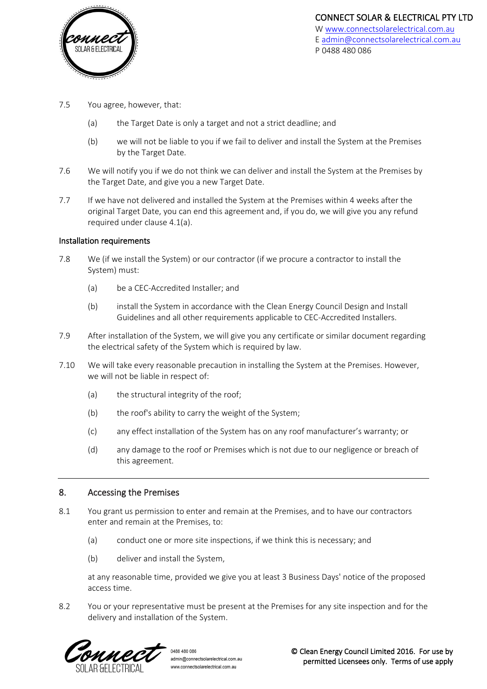

- 7.5 You agree, however, that:
	- (a) the Target Date is only a target and not a strict deadline; and
	- (b) we will not be liable to you if we fail to deliver and install the System at the Premises by the Target Date.
- <span id="page-5-1"></span>7.6 We will notify you if we do not think we can deliver and install the System at the Premises by the Target Date, and give you a new Target Date.
- <span id="page-5-0"></span>7.7 If we have not delivered and installed the System at the Premises within 4 weeks after the original Target Date, you can end this agreement and, if you do, we will give you any refund required under clause [4.1\(a\).](#page-3-7)

### Installation requirements

- 7.8 We (if we install the System) or our contractor (if we procure a contractor to install the System) must:
	- (a) be a CEC-Accredited Installer; and
	- (b) install the System in accordance with the Clean Energy Council Design and Install Guidelines and all other requirements applicable to CEC-Accredited Installers.
- 7.9 After installation of the System, we will give you any certificate or similar document regarding the electrical safety of the System which is required by law.
- 7.10 We will take every reasonable precaution in installing the System at the Premises. However, we will not be liable in respect of:
	- (a) the structural integrity of the roof;
	- (b) the roof's ability to carry the weight of the System;
	- (c) any effect installation of the System has on any roof manufacturer's warranty; or
	- (d) any damage to the roof or Premises which is not due to our negligence or breach of this agreement.

### <span id="page-5-2"></span>8. Accessing the Premises

- 8.1 You grant us permission to enter and remain at the Premises, and to have our contractors enter and remain at the Premises, to:
	- (a) conduct one or more site inspections, if we think this is necessary; and
	- (b) deliver and install the System,

at any reasonable time, provided we give you at least 3 Business Days' notice of the proposed access time.

8.2 You or your representative must be present at the Premises for any site inspection and for the delivery and installation of the System.



0488 480 086 admin@connectsolarelectrical.com.au www.connectsolarelectrical.com.au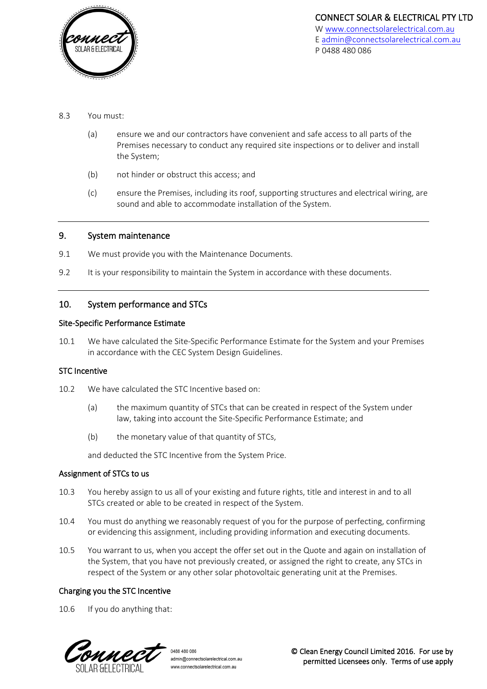

- 8.3 You must:
	- (a) ensure we and our contractors have convenient and safe access to all parts of the Premises necessary to conduct any required site inspections or to deliver and install the System;
	- (b) not hinder or obstruct this access; and
	- (c) ensure the Premises, including its roof, supporting structures and electrical wiring, are sound and able to accommodate installation of the System.

### 9. System maintenance

- 9.1 We must provide you with the Maintenance Documents.
- 9.2 It is your responsibility to maintain the System in accordance with these documents.

# 10. System performance and STCs

### Site-Specific Performance Estimate

10.1 We have calculated the Site-Specific Performance Estimate for the System and your Premises in accordance with the CEC System Design Guidelines.

### STC Incentive

- 10.2 We have calculated the STC Incentive based on:
	- (a) the maximum quantity of STCs that can be created in respect of the System under law, taking into account the Site-Specific Performance Estimate; and
	- (b) the monetary value of that quantity of STCs,

and deducted the STC Incentive from the System Price.

### Assignment of STCs to us

- <span id="page-6-0"></span>10.3 You hereby assign to us all of your existing and future rights, title and interest in and to all STCs created or able to be created in respect of the System.
- 10.4 You must do anything we reasonably request of you for the purpose of perfecting, confirming or evidencing this assignment, including providing information and executing documents.
- 10.5 You warrant to us, when you accept the offer set out in the Quote and again on installation of the System, that you have not previously created, or assigned the right to create, any STCs in respect of the System or any other solar photovoltaic generating unit at the Premises.

### Charging you the STC Incentive

<span id="page-6-1"></span>10.6 If you do anything that:

MM P

0488 480 086 admin@connectsolarelectrical.com.au www.connectsolarelectrical.com.au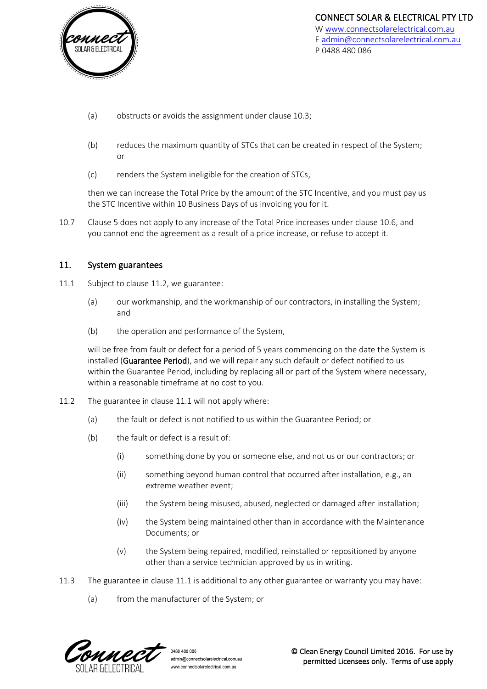

- (a) obstructs or avoids the assignment under clause [10.3;](#page-6-0)
- (b) reduces the maximum quantity of STCs that can be created in respect of the System; or
- (c) renders the System ineligible for the creation of STCs,

then we can increase the Total Price by the amount of the STC Incentive, and you must pay us the STC Incentive within 10 Business Days of us invoicing you for it.

10.7 Clause [5](#page-3-0) does not apply to any increase of the Total Price increases under clause [10.6,](#page-6-1) and you cannot end the agreement as a result of a price increase, or refuse to accept it.

### <span id="page-7-0"></span>11. System guarantees

- <span id="page-7-2"></span>11.1 Subject to clause [11.2,](#page-7-1) we guarantee:
	- (a) our workmanship, and the workmanship of our contractors, in installing the System; and
	- (b) the operation and performance of the System,

will be free from fault or defect for a period of 5 years commencing on the date the System is installed (Guarantee Period), and we will repair any such default or defect notified to us within the Guarantee Period, including by replacing all or part of the System where necessary, within a reasonable timeframe at no cost to you.

- <span id="page-7-1"></span>11.2 The guarantee in clause [11.1](#page-7-2) will not apply where:
	- (a) the fault or defect is not notified to us within the Guarantee Period; or
	- (b) the fault or defect is a result of:
		- (i) something done by you or someone else, and not us or our contractors; or
		- (ii) something beyond human control that occurred after installation, e.g., an extreme weather event;
		- (iii) the System being misused, abused, neglected or damaged after installation;
		- (iv) the System being maintained other than in accordance with the Maintenance Documents; or
		- (v) the System being repaired, modified, reinstalled or repositioned by anyone other than a service technician approved by us in writing.
- 11.3 The guarantee in clause [11.1](#page-7-2) is additional to any other guarantee or warranty you may have:
	- (a) from the manufacturer of the System; or



0488 480 086 admin@connectsolarelectrical.com.au www.connectsolarelectrical.com.au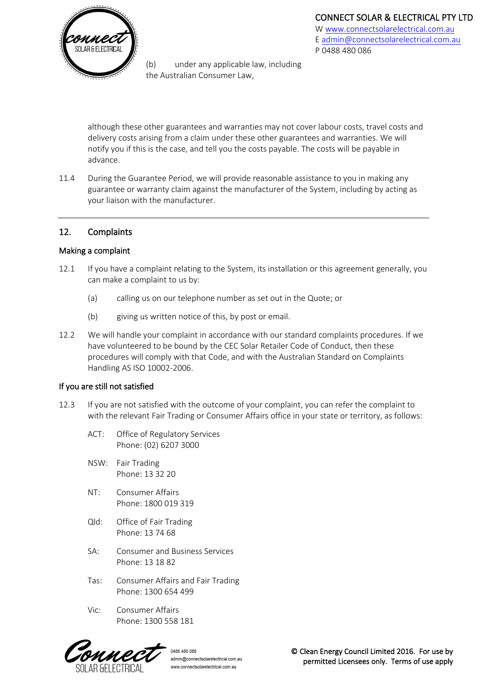

(b) under any applicable law, including the Australian Consumer Law,

[W www.connectsolarelectrical.com.au](http://www.connectsolarelectrical.com.au/) E [admin@connectsolarelectrical.com.au](mailto:admin@connectsolarelectrical.com.au) P 0488 480 086

although these other guarantees and warranties may not cover labour costs, travel costs and delivery costs arising from a claim under these other guarantees and warranties. We will notify you if this is the case, and tell you the costs payable. The costs will be payable in advance.

11.4 During the Guarantee Period, we will provide reasonable assistance to you in making any guarantee or warranty claim against the manufacturer of the System, including by acting as your liaison with the manufacturer.

# 12. Complaints

### Making a complaint

- 12.1 If you have a complaint relating to the System, its installation or this agreement generally, you can make a complaint to us by:
	- (a) calling us on our telephone number as set out in the Quote; or
	- (b) giving us written notice of this, by post or email.
- 12.2 We will handle your complaint in accordance with our standard complaints procedures. If we have volunteered to be bound by the CEC Solar Retailer Code of Conduct, then these procedures will comply with that Code, and with the Australian Standard on Complaints Handling AS ISO 10002-2006.

# If you are still not satisfied

- 12.3 If you are not satisfied with the outcome of your complaint, you can refer the complaint to with the relevant Fair Trading or Consumer Affairs office in your state or territory, as follows:
	- ACT: Office of Regulatory Services Phone: (02) 6207 3000
	- NSW: Fair Trading Phone: 13 32 20
	- NT: Consumer Affairs Phone: 1800 019 319
	- Qld: Office of Fair Trading Phone: 13 74 68
	- SA: Consumer and Business Services Phone: 13 18 82
	- Tas: Consumer Affairs and Fair Trading Phone: 1300 654 499
	- Vic: Consumer Affairs Phone: 1300 558 181

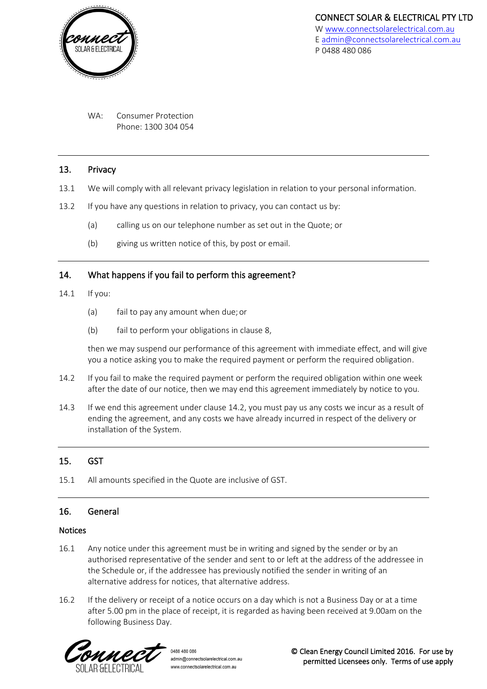

WA: Consumer Protection Phone: 1300 304 054

### 13. Privacy

- 13.1 We will comply with all relevant privacy legislation in relation to your personal information.
- 13.2 If you have any questions in relation to privacy, you can contact us by:
	- (a) calling us on our telephone number as set out in the Quote; or
	- (b) giving us written notice of this, by post or email.

# 14. What happens if you fail to perform this agreement?

- 14.1 If you:
	- (a) fail to pay any amount when due;or
	- (b) fail to perform your obligations in clause [8,](#page-5-2)

then we may suspend our performance of this agreement with immediate effect, and will give you a notice asking you to make the required payment or perform the required obligation.

- <span id="page-9-1"></span>14.2 If you fail to make the required payment or perform the required obligation within one week after the date of our notice, then we may end this agreement immediately by notice to you.
- 14.3 If we end this agreement under clause [14.2,](#page-9-1) you must pay us any costs we incur as a result of ending the agreement, and any costs we have already incurred in respect of the delivery or installation of the System.

# 15. GST

15.1 All amounts specified in the Quote are inclusive of GST.

### <span id="page-9-0"></span>16. General

### Notices

- 16.1 Any notice under this agreement must be in writing and signed by the sender or by an authorised representative of the sender and sent to or left at the address of the addressee in the Schedule or, if the addressee has previously notified the sender in writing of an alternative address for notices, that alternative address.
- 16.2 If the delivery or receipt of a notice occurs on a day which is not a Business Day or at a time after 5.00 pm in the place of receipt, it is regarded as having been received at 9.00am on the following Business Day.



0488 480 086 admin@connectsolarelectrical.com.au www.connectsolarelectrical.com.au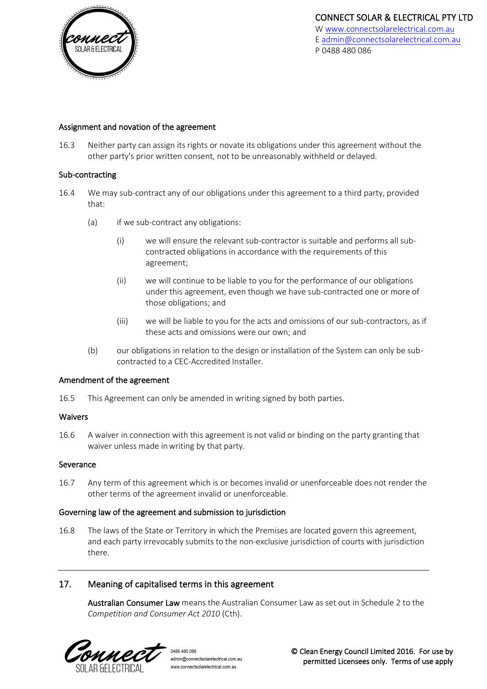

### Assignment and novation of the agreement

16.3 Neither party can assign its rights or novate its obligations under this agreement without the other party's prior written consent, not to be unreasonably withheld or delayed.

### Sub-contracting

- 16.4 We may sub-contract any of our obligations under this agreement to a third party, provided that:
	- (a) if we sub-contract any obligations:
		- (i) we will ensure the relevant sub-contractor is suitable and performs all subcontracted obligations in accordance with the requirements of this agreement;
		- (ii) we will continue to be liable to you for the performance of our obligations under this agreement, even though we have sub-contracted one or more of those obligations; and
		- (iii) we will be liable to you for the acts and omissions of our sub-contractors, as if these acts and omissions were our own; and
	- (b) our obligations in relation to the design or installation of the System can only be subcontracted to a CEC-Accredited Installer.

### Amendment of the agreement

16.5 This Agreement can only be amended in writing signed by both parties.

#### Waivers

16.6 A waiver in connection with this agreement is not valid or binding on the party granting that waiver unless made inwriting by that party.

### Severance

16.7 Any term of this agreement which is or becomes invalid or unenforceable does not render the other terms of the agreement invalid or unenforceable.

### Governing law of the agreement and submission to jurisdiction

16.8 The laws of the State or Territory in which the Premises are located govern this agreement, and each party irrevocably submits to the non-exclusive jurisdiction of courts with jurisdiction there.

### 17. Meaning of capitalised terms in this agreement

Australian Consumer Law means the Australian Consumer Law as set out in Schedule 2 to the *Competition and Consumer Act 2010* (Cth).



0488 480 086 admin@connectsolarelectrical.com.au www.connectsolarelectrical.com.au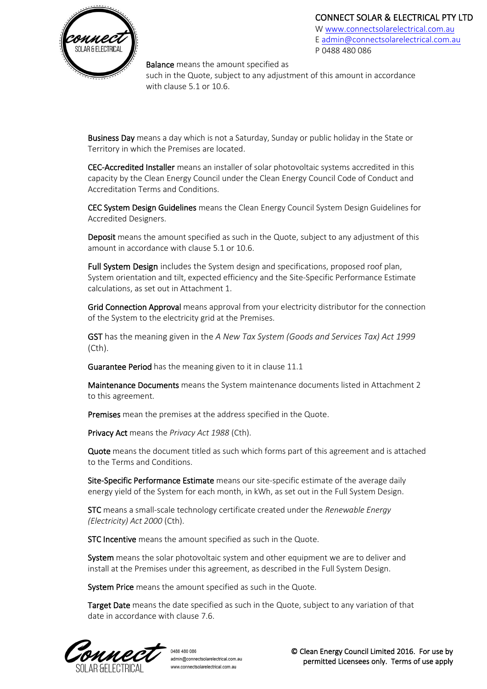# CONNECT SOLAR & ELECTRICAL PTY LTD



[W www.connectsolarelectrical.com.au](http://www.connectsolarelectrical.com.au/) E [admin@connectsolarelectrical.com.au](mailto:admin@connectsolarelectrical.com.au) P 0488 480 086

**Balance** means the amount specified as

such in the Quote, subject to any adjustment of this amount in accordance with claus[e 5.1](#page-3-3) or [10.6.](#page-6-1)

Business Day means a day which is not a Saturday, Sunday or public holiday in the State or Territory in which the Premises are located.

CEC-Accredited Installer means an installer of solar photovoltaic systems accredited in this capacity by the Clean Energy Council under the Clean Energy Council Code of Conduct and Accreditation Terms and Conditions.

CEC System Design Guidelines means the Clean Energy Council System Design Guidelines for Accredited Designers.

Deposit means the amount specified as such in the Quote, subject to any adjustment of this amount in accordance with claus[e 5.1](#page-3-3) or [10.6.](#page-6-1)

Full System Design includes the System design and specifications, proposed roof plan, System orientation and tilt, expected efficiency and the Site-Specific Performance Estimate calculations, as set out in Attachment 1.

Grid Connection Approval means approval from your electricity distributor for the connection of the System to the electricity grid at the Premises.

GST has the meaning given in the *A New Tax System (Goods and Services Tax) Act 1999*  (Cth).

Guarantee Period has the meaning given to it in clause [11.1](#page-7-2) 

Maintenance Documents means the System maintenance documents listed in Attachment 2 to this agreement.

Premises mean the premises at the address specified in the Quote.

Privacy Act means the *Privacy Act 1988* (Cth).

Quote means the document titled as such which forms part of this agreement and is attached to the Terms and Conditions.

Site-Specific Performance Estimate means our site-specific estimate of the average daily energy yield of the System for each month, in kWh, as set out in the Full System Design.

STC means a small-scale technology certificate created under the *Renewable Energy (Electricity) Act 2000* (Cth).

STC Incentive means the amount specified as such in the Quote.

System means the solar photovoltaic system and other equipment we are to deliver and install at the Premises under this agreement, as described in the Full System Design.

System Price means the amount specified as such in the Quote.

Target Date means the date specified as such in the Quote, subject to any variation of that date in accordance with clause [7.6.](#page-5-1)

m M.P.I

0488 480 086 admin@connectsolarelectrical.com.au www.connectsolarelectrical.com.au